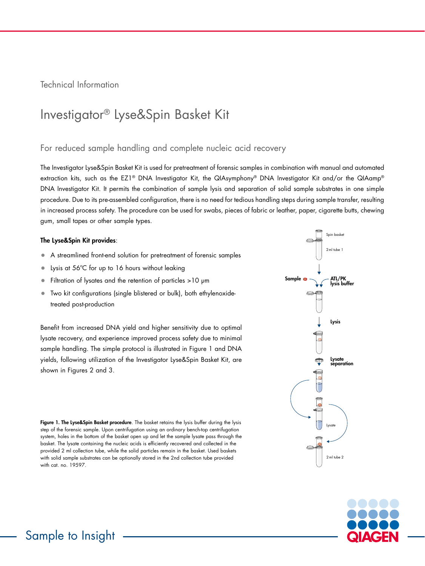Technical Information

# Investigator® Lyse&Spin Basket Kit

### For reduced sample handling and complete nucleic acid recovery

The Investigator Lyse&Spin Basket Kit is used for pretreatment of forensic samples in combination with manual and automated extraction kits, such as the EZ1<sup>®</sup> DNA Investigator Kit, the QIAsymphony® DNA Investigator Kit and/or the QIAamp® DNA Investigator Kit. It permits the combination of sample lysis and separation of solid sample substrates in one simple procedure. Due to its pre-assembled configuration, there is no need for tedious handling steps during sample transfer, resulting in increased process safety. The procedure can be used for swabs, pieces of fabric or leather, paper, cigarette butts, chewing gum, small tapes or other sample types.

#### The Lyse&Spin Kit provides:

- A streamlined front-end solution for pretreatment of forensic samples
- Lysis at 56°C for up to 16 hours without leaking
- Filtration of lysates and the retention of particles >10 μm
- Two kit configurations (single blistered or bulk), both ethylenoxidetreated post-production

Benefit from increased DNA yield and higher sensitivity due to optimal lysate recovery, and experience improved process safety due to minimal sample handling. The simple protocol is illustrated in Figure 1 and DNA yields, following utilization of the Investigator Lyse&Spin Basket Kit, are shown in Figures 2 and 3.

Figure 1. The Lyse&Spin Basket procedure. The basket retains the lysis buffer during the lysis step of the forensic sample. Upon centrifugation using an ordinary bench-top centrifugation system, holes in the bottom of the basket open up and let the sample lysate pass through the basket. The lysate containing the nucleic acids is efficiently recovered and collected in the provided 2 ml collection tube, while the solid particles remain in the basket. Used baskets with solid sample substrates can be optionally stored in the 2nd collection tube provided with cat. no. 19597.





Sample to Insight